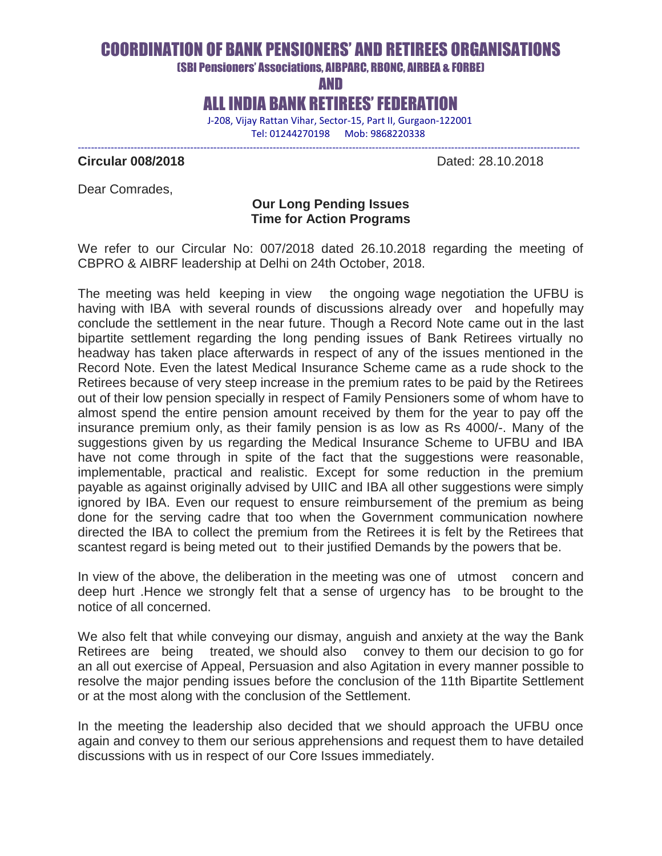# COORDINATION OF BANK PENSIONERS' AND RETIREES ORGANISATIONS

(SBI Pensioners' Associations, AIBPARC, RBONC, AIRBEA & FORBE)

AND

ALL INDIA BANK RETIREES' FEDERATION

--------------------------------------------------------------------------------------------------------------------------------------------------------

 J-208, Vijay Rattan Vihar, Sector-15, Part II, Gurgaon-122001 Tel: 01244270198 Mob: 9868220338

**Circular 008/2018** Dated: 28.10.2018

Dear Comrades,

### **Our Long Pending Issues Time for Action Programs**

We refer to our Circular No: 007/2018 dated 26.10.2018 regarding the meeting of CBPRO & AIBRF leadership at Delhi on 24th October, 2018.

The meeting was held keeping in view the ongoing wage negotiation the UFBU is having with IBA with several rounds of discussions already over and hopefully may conclude the settlement in the near future. Though a Record Note came out in the last bipartite settlement regarding the long pending issues of Bank Retirees virtually no headway has taken place afterwards in respect of any of the issues mentioned in the Record Note. Even the latest Medical Insurance Scheme came as a rude shock to the Retirees because of very steep increase in the premium rates to be paid by the Retirees out of their low pension specially in respect of Family Pensioners some of whom have to almost spend the entire pension amount received by them for the year to pay off the insurance premium only, as their family pension is as low as Rs 4000/-. Many of the suggestions given by us regarding the Medical Insurance Scheme to UFBU and IBA have not come through in spite of the fact that the suggestions were reasonable, implementable, practical and realistic. Except for some reduction in the premium payable as against originally advised by UIIC and IBA all other suggestions were simply ignored by IBA. Even our request to ensure reimbursement of the premium as being done for the serving cadre that too when the Government communication nowhere directed the IBA to collect the premium from the Retirees it is felt by the Retirees that scantest regard is being meted out to their justified Demands by the powers that be.

In view of the above, the deliberation in the meeting was one of utmost concern and deep hurt .Hence we strongly felt that a sense of urgency has to be brought to the notice of all concerned.

We also felt that while conveying our dismay, anguish and anxiety at the way the Bank Retirees are being treated, we should also convey to them our decision to go for an all out exercise of Appeal, Persuasion and also Agitation in every manner possible to resolve the major pending issues before the conclusion of the 11th Bipartite Settlement or at the most along with the conclusion of the Settlement.

In the meeting the leadership also decided that we should approach the UFBU once again and convey to them our serious apprehensions and request them to have detailed discussions with us in respect of our Core Issues immediately.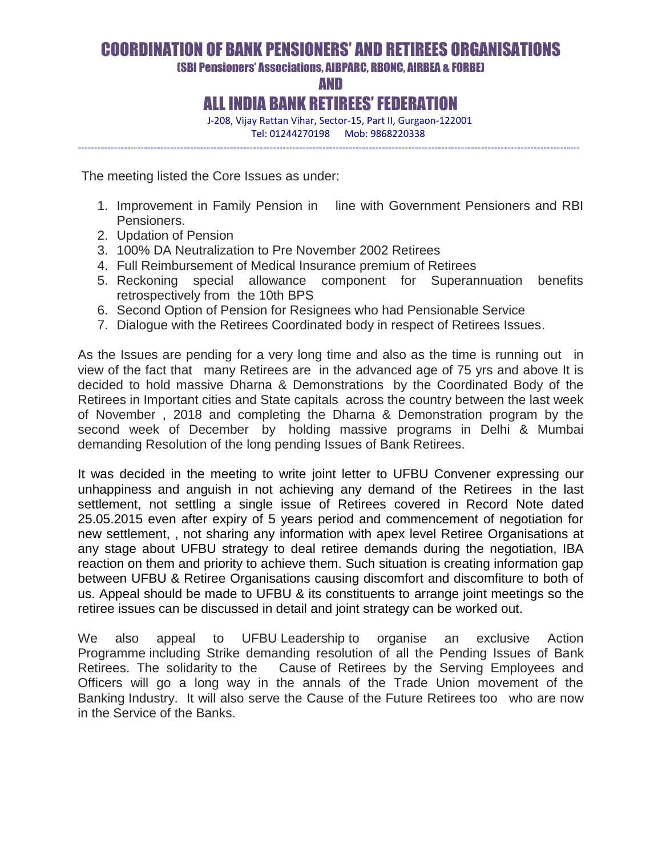# COORDINATION OF BANK PENSIONERS' AND RETIREES ORGANISATIONS

(SBI Pensioners' Associations, AIBPARC, RBONC, AIRBEA & FORBE)

AND

## ALL INDIA BANK RETIREES' FEDERATION

--------------------------------------------------------------------------------------------------------------------------------------------------------

 J-208, Vijay Rattan Vihar, Sector-15, Part II, Gurgaon-122001 Tel: 01244270198 Mob: 9868220338

The meeting listed the Core Issues as under:

- 1. Improvement in Family Pension in line with Government Pensioners and RBI Pensioners.
- 2. Updation of Pension
- 3. 100% DA Neutralization to Pre November 2002 Retirees
- 4. Full Reimbursement of Medical Insurance premium of Retirees
- 5. Reckoning special allowance component for Superannuation benefits retrospectively from the 10th BPS
- 6. Second Option of Pension for Resignees who had Pensionable Service
- 7. Dialogue with the Retirees Coordinated body in respect of Retirees Issues.

As the Issues are pending for a very long time and also as the time is running out in view of the fact that many Retirees are in the advanced age of 75 yrs and above It is decided to hold massive Dharna & Demonstrations by the Coordinated Body of the Retirees in Important cities and State capitals across the country between the last week of November , 2018 and completing the Dharna & Demonstration program by the second week of December by holding massive programs in Delhi & Mumbai demanding Resolution of the long pending Issues of Bank Retirees.

It was decided in the meeting to write joint letter to UFBU Convener expressing our unhappiness and anguish in not achieving any demand of the Retirees in the last settlement, not settling a single issue of Retirees covered in Record Note dated 25.05.2015 even after expiry of 5 years period and commencement of negotiation for new settlement, , not sharing any information with apex level Retiree Organisations at any stage about UFBU strategy to deal retiree demands during the negotiation, IBA reaction on them and priority to achieve them. Such situation is creating information gap between UFBU & Retiree Organisations causing discomfort and discomfiture to both of us. Appeal should be made to UFBU & its constituents to arrange joint meetings so the retiree issues can be discussed in detail and joint strategy can be worked out.

We also appeal to UFBU Leadership to organise an exclusive Action Programme including Strike demanding resolution of all the Pending Issues of Bank Retirees. The solidarity to the Cause of Retirees by the Serving Employees and Officers will go a long way in the annals of the Trade Union movement of the Banking Industry. It will also serve the Cause of the Future Retirees too who are now in the Service of the Banks.